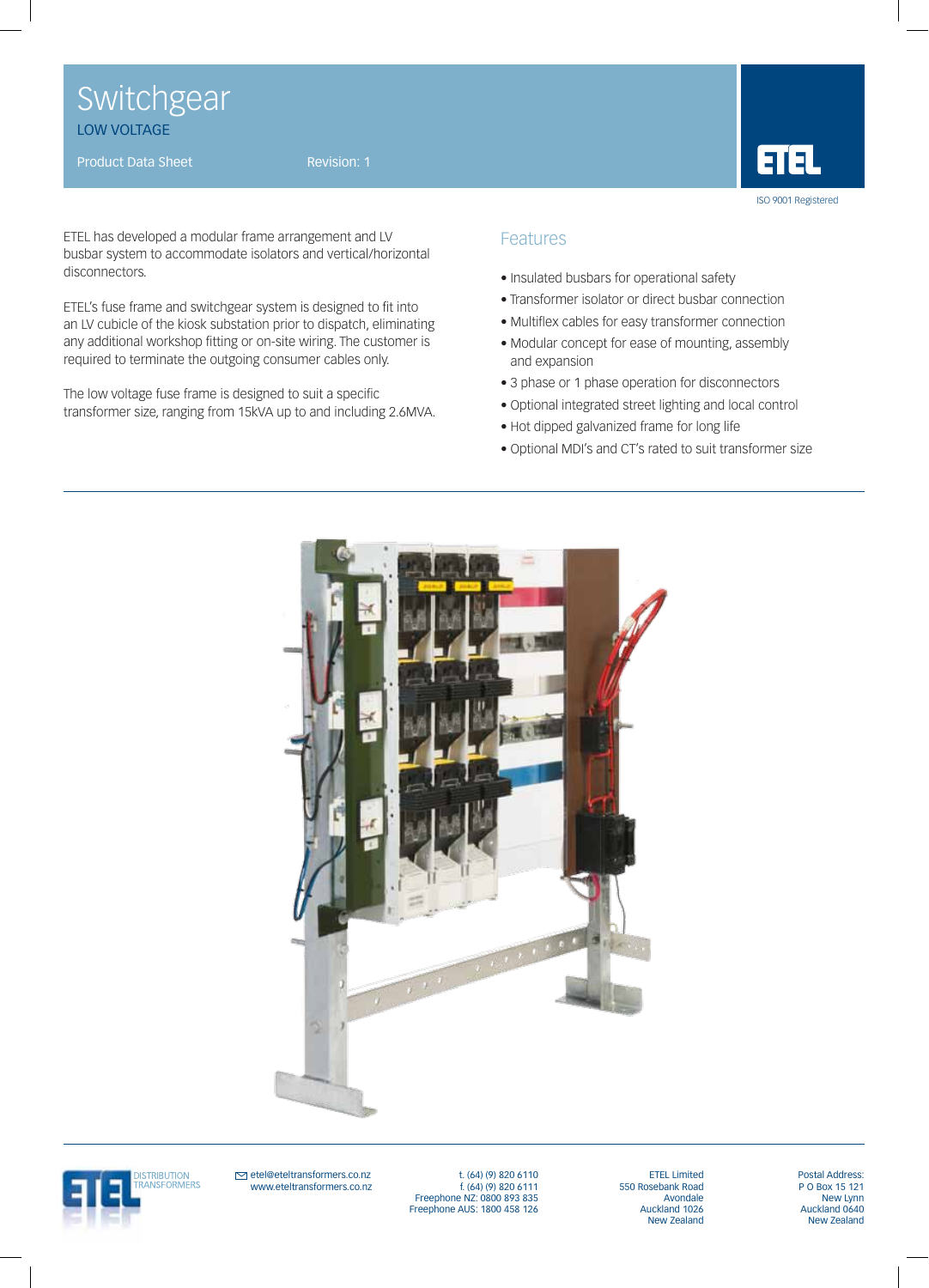Switchgear LOW VOLTAGE

Product Data Sheet Revision: 1



ETEL has developed a modular frame arrangement and LV busbar system to accommodate isolators and vertical/horizontal disconnectors.

ETEL's fuse frame and switchgear system is designed to fit into an LV cubicle of the kiosk substation prior to dispatch, eliminating any additional workshop fitting or on-site wiring. The customer is required to terminate the outgoing consumer cables only.

The low voltage fuse frame is designed to suit a specific transformer size, ranging from 15kVA up to and including 2.6MVA.

## Features

- Insulated busbars for operational safety
- Transformer isolator or direct busbar connection
- Multiflex cables for easy transformer connection
- Modular concept for ease of mounting, assembly and expansion
- 3 phase or 1 phase operation for disconnectors
- Optional integrated street lighting and local control
- Hot dipped galvanized frame for long life
- Optional MDI's and CT's rated to suit transformer size





 $\trianglerighteq$  etel@eteltransformers.co.nz www.eteltransformers.co.nz

t. (64) (9) 820 6110 f. (64) (9) 820 6111 Freephone NZ: 0800 893 835 Freephone AUS: 1800 458 126

ETEL Limited 550 Rosebank Road **Avondale** Auckland 1026 New Zealand Postal Address: P O Box 15 121 New Lynn Auckland 0640 New Zealand